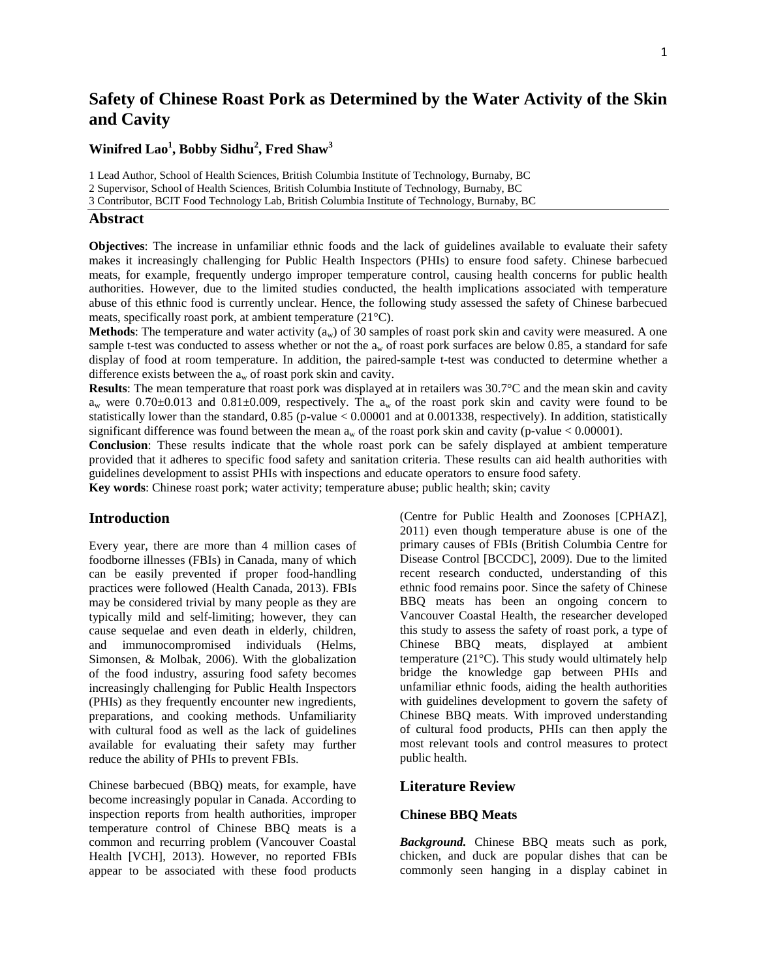# **Safety of Chinese Roast Pork as Determined by the Water Activity of the Skin and Cavity**

# **Winifred Lao1 , Bobby Sidhu<sup>2</sup> , Fred Shaw<sup>3</sup>**

1 Lead Author, School of Health Sciences, British Columbia Institute of Technology, Burnaby, BC

2 Supervisor, School of Health Sciences, British Columbia Institute of Technology, Burnaby, BC

3 Contributor, BCIT Food Technology Lab, British Columbia Institute of Technology, Burnaby, BC

#### **Abstract**

**Objectives**: The increase in unfamiliar ethnic foods and the lack of guidelines available to evaluate their safety makes it increasingly challenging for Public Health Inspectors (PHIs) to ensure food safety. Chinese barbecued meats, for example, frequently undergo improper temperature control, causing health concerns for public health authorities. However, due to the limited studies conducted, the health implications associated with temperature abuse of this ethnic food is currently unclear. Hence, the following study assessed the safety of Chinese barbecued meats, specifically roast pork, at ambient temperature (21°C).

**Methods**: The temperature and water activity (a<sub>w</sub>) of 30 samples of roast pork skin and cavity were measured. A one sample t-test was conducted to assess whether or not the  $a_w$  of roast pork surfaces are below 0.85, a standard for safe display of food at room temperature. In addition, the paired-sample t-test was conducted to determine whether a difference exists between the  $a_w$  of roast pork skin and cavity.

**Results**: The mean temperature that roast pork was displayed at in retailers was 30.7°C and the mean skin and cavity  $a_w$  were 0.70 $\pm$ 0.013 and 0.81 $\pm$ 0.009, respectively. The  $a_w$  of the roast pork skin and cavity were found to be statistically lower than the standard, 0.85 (p-value < 0.00001 and at 0.001338, respectively). In addition, statistically significant difference was found between the mean  $a_w$  of the roast pork skin and cavity (p-value < 0.00001).

**Conclusion**: These results indicate that the whole roast pork can be safely displayed at ambient temperature provided that it adheres to specific food safety and sanitation criteria. These results can aid health authorities with guidelines development to assist PHIs with inspections and educate operators to ensure food safety.

**Key words**: Chinese roast pork; water activity; temperature abuse; public health; skin; cavity

## **Introduction**

Every year, there are more than 4 million cases of foodborne illnesses (FBIs) in Canada, many of which can be easily prevented if proper food-handling practices were followed (Health Canada, 2013). FBIs may be considered trivial by many people as they are typically mild and self-limiting; however, they can cause sequelae and even death in elderly, children, and immunocompromised individuals (Helms, Simonsen, & Molbak, 2006). With the globalization of the food industry, assuring food safety becomes increasingly challenging for Public Health Inspectors (PHIs) as they frequently encounter new ingredients, preparations, and cooking methods. Unfamiliarity with cultural food as well as the lack of guidelines available for evaluating their safety may further reduce the ability of PHIs to prevent FBIs.

Chinese barbecued (BBQ) meats, for example, have become increasingly popular in Canada. According to inspection reports from health authorities, improper temperature control of Chinese BBQ meats is a common and recurring problem (Vancouver Coastal Health [VCH], 2013). However, no reported FBIs appear to be associated with these food products

(Centre for Public Health and Zoonoses [CPHAZ], 2011) even though temperature abuse is one of the primary causes of FBIs (British Columbia Centre for Disease Control [BCCDC], 2009). Due to the limited recent research conducted, understanding of this ethnic food remains poor. Since the safety of Chinese BBQ meats has been an ongoing concern to Vancouver Coastal Health, the researcher developed this study to assess the safety of roast pork, a type of Chinese BBQ meats, displayed at ambient temperature (21°C). This study would ultimately help bridge the knowledge gap between PHIs and unfamiliar ethnic foods, aiding the health authorities with guidelines development to govern the safety of Chinese BBQ meats. With improved understanding of cultural food products, PHIs can then apply the most relevant tools and control measures to protect public health.

### **Literature Review**

#### **Chinese BBQ Meats**

*Background.* Chinese BBQ meats such as pork, chicken, and duck are popular dishes that can be commonly seen hanging in a display cabinet in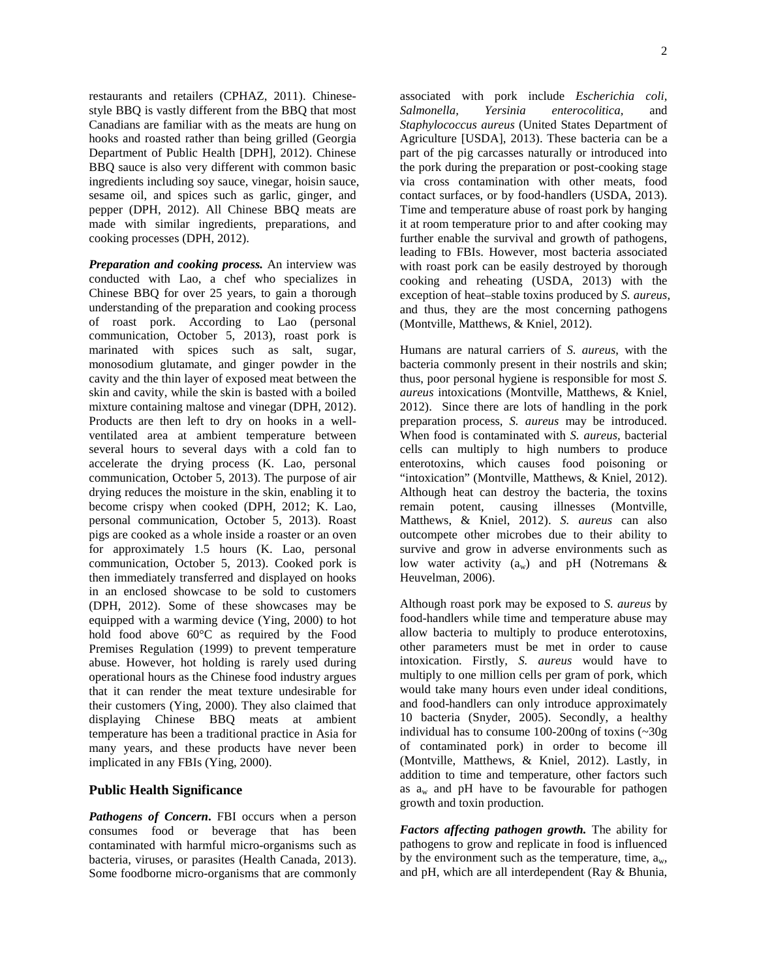restaurants and retailers (CPHAZ, 2011). Chinesestyle BBQ is vastly different from the BBQ that most Canadians are familiar with as the meats are hung on hooks and roasted rather than being grilled (Georgia Department of Public Health [DPH], 2012). Chinese BBQ sauce is also very different with common basic ingredients including soy sauce, vinegar, hoisin sauce, sesame oil, and spices such as garlic, ginger, and pepper (DPH, 2012). All Chinese BBQ meats are made with similar ingredients, preparations, and cooking processes (DPH, 2012).

*Preparation and cooking process.* An interview was conducted with Lao, a chef who specializes in Chinese BBQ for over 25 years, to gain a thorough understanding of the preparation and cooking process of roast pork. According to Lao (personal communication, October 5, 2013), roast pork is marinated with spices such as salt, sugar, monosodium glutamate, and ginger powder in the cavity and the thin layer of exposed meat between the skin and cavity, while the skin is basted with a boiled mixture containing maltose and vinegar (DPH, 2012). Products are then left to dry on hooks in a wellventilated area at ambient temperature between several hours to several days with a cold fan to accelerate the drying process (K. Lao, personal communication, October 5, 2013). The purpose of air drying reduces the moisture in the skin, enabling it to become crispy when cooked (DPH, 2012; K. Lao, personal communication, October 5, 2013). Roast pigs are cooked as a whole inside a roaster or an oven for approximately 1.5 hours (K. Lao, personal communication, October 5, 2013). Cooked pork is then immediately transferred and displayed on hooks in an enclosed showcase to be sold to customers (DPH, 2012). Some of these showcases may be equipped with a warming device (Ying, 2000) to hot hold food above 60°C as required by the Food Premises Regulation (1999) to prevent temperature abuse. However, hot holding is rarely used during operational hours as the Chinese food industry argues that it can render the meat texture undesirable for their customers (Ying, 2000). They also claimed that displaying Chinese BBQ meats at ambient temperature has been a traditional practice in Asia for many years, and these products have never been implicated in any FBIs (Ying, 2000).

## **Public Health Significance**

*Pathogens of Concern***.** FBI occurs when a person consumes food or beverage that has been contaminated with harmful micro-organisms such as bacteria, viruses, or parasites (Health Canada, 2013). Some foodborne micro-organisms that are commonly

associated with pork include *Escherichia coli, Salmonella, Yersinia enterocolitica,* and *Staphylococcus aureus* (United States Department of Agriculture [USDA], 2013). These bacteria can be a part of the pig carcasses naturally or introduced into the pork during the preparation or post-cooking stage via cross contamination with other meats, food contact surfaces, or by food-handlers (USDA, 2013). Time and temperature abuse of roast pork by hanging it at room temperature prior to and after cooking may further enable the survival and growth of pathogens, leading to FBIs. However, most bacteria associated with roast pork can be easily destroyed by thorough cooking and reheating (USDA, 2013) with the exception of heat–stable toxins produced by *S. aureus*, and thus, they are the most concerning pathogens (Montville, Matthews, & Kniel, 2012).

Humans are natural carriers of *S. aureus*, with the bacteria commonly present in their nostrils and skin; thus, poor personal hygiene is responsible for most *S. aureus* intoxications (Montville, Matthews, & Kniel, 2012). Since there are lots of handling in the pork preparation process, *S. aureus* may be introduced. When food is contaminated with *S. aureus,* bacterial cells can multiply to high numbers to produce enterotoxins, which causes food poisoning or "intoxication" (Montville, Matthews, & Kniel, 2012). Although heat can destroy the bacteria, the toxins remain potent, causing illnesses (Montville, Matthews, & Kniel, 2012). *S. aureus* can also outcompete other microbes due to their ability to survive and grow in adverse environments such as low water activity  $(a_w)$  and pH (Notremans & Heuvelman, 2006).

Although roast pork may be exposed to *S. aureus* by food-handlers while time and temperature abuse may allow bacteria to multiply to produce enterotoxins, other parameters must be met in order to cause intoxication. Firstly, *S. aureus* would have to multiply to one million cells per gram of pork, which would take many hours even under ideal conditions, and food-handlers can only introduce approximately 10 bacteria (Snyder, 2005). Secondly, a healthy individual has to consume 100-200ng of toxins (~30g of contaminated pork) in order to become ill (Montville, Matthews, & Kniel, 2012). Lastly, in addition to time and temperature, other factors such as  $a_w$  and pH have to be favourable for pathogen growth and toxin production.

*Factors affecting pathogen growth.* The ability for pathogens to grow and replicate in food is influenced by the environment such as the temperature, time,  $a_w$ , and pH, which are all interdependent (Ray & Bhunia,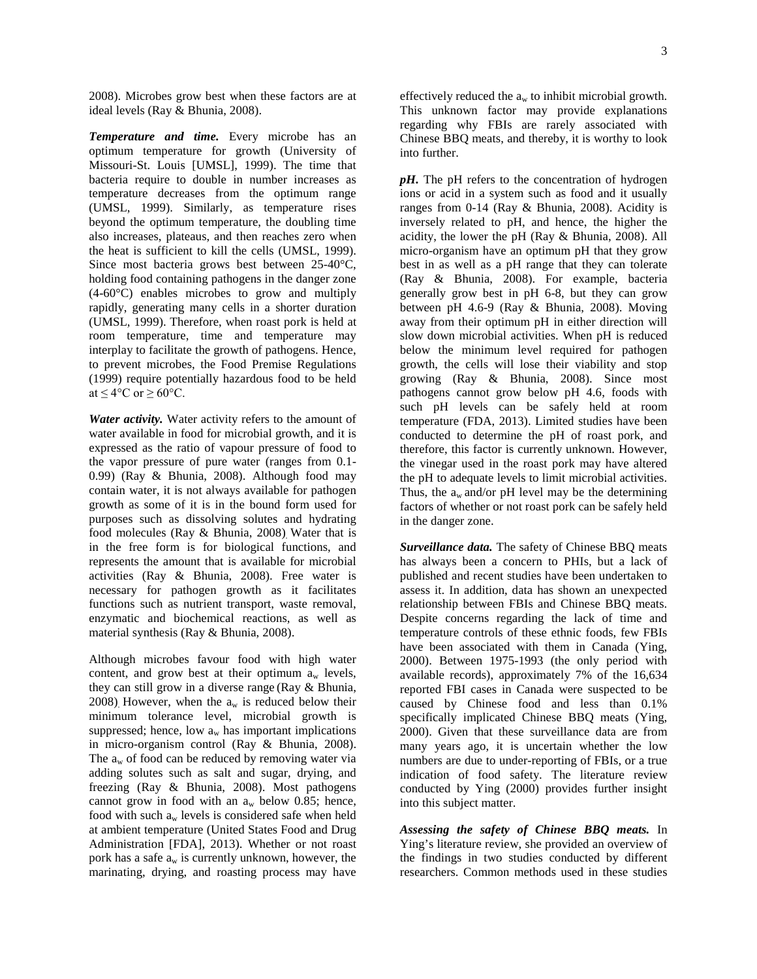2008). Microbes grow best when these factors are at ideal levels (Ray & Bhunia, 2008).

*Temperature and time.* Every microbe has an optimum temperature for growth (University of Missouri-St. Louis [UMSL], 1999). The time that bacteria require to double in number increases as temperature decreases from the optimum range (UMSL, 1999). Similarly, as temperature rises beyond the optimum temperature, the doubling time also increases, plateaus, and then reaches zero when the heat is sufficient to kill the cells (UMSL, 1999). Since most bacteria grows best between 25-40°C, holding food containing pathogens in the danger zone (4-60°C) enables microbes to grow and multiply rapidly, generating many cells in a shorter duration (UMSL, 1999). Therefore, when roast pork is held at room temperature, time and temperature may interplay to facilitate the growth of pathogens. Hence, to prevent microbes, the Food Premise Regulations (1999) require potentially hazardous food to be held at  $\leq 4^{\circ}$ C or  $\geq 60^{\circ}$ C.

*Water activity.* Water activity refers to the amount of water available in food for microbial growth, and it is expressed as the ratio of vapour pressure of food to the vapor pressure of pure water (ranges from 0.1- 0.99) (Ray & Bhunia, 2008). Although food may contain water, it is not always available for pathogen growth as some of it is in the bound form used for purposes such as dissolving solutes and hydrating food molecules (Ray & Bhunia, 2008). Water that is in the free form is for biological functions, and represents the amount that is available for microbial activities (Ray & Bhunia, 2008). Free water is necessary for pathogen growth as it facilitates functions such as nutrient transport, waste removal, enzymatic and biochemical reactions, as well as material synthesis (Ray & Bhunia, 2008).

Although microbes favour food with high water content, and grow best at their optimum  $a_w$  levels, they can still grow in a diverse range (Ray & Bhunia, 2008). However, when the  $a_w$  is reduced below their minimum tolerance level, microbial growth is suppressed; hence, low  $a_w$  has important implications in micro-organism control (Ray & Bhunia, 2008). The  $a_w$  of food can be reduced by removing water via adding solutes such as salt and sugar, drying, and freezing (Ray & Bhunia, 2008). Most pathogens cannot grow in food with an  $a_w$  below 0.85; hence, food with such  $a_w$  levels is considered safe when held at ambient temperature (United States Food and Drug Administration [FDA], 2013). Whether or not roast pork has a safe  $a_w$  is currently unknown, however, the marinating, drying, and roasting process may have effectively reduced the  $a_w$  to inhibit microbial growth. This unknown factor may provide explanations regarding why FBIs are rarely associated with Chinese BBQ meats, and thereby, it is worthy to look into further.

*pH.* The pH refers to the concentration of hydrogen ions or acid in a system such as food and it usually ranges from 0-14 (Ray & Bhunia, 2008). Acidity is inversely related to pH, and hence, the higher the acidity, the lower the pH (Ray & Bhunia, 2008). All micro-organism have an optimum pH that they grow best in as well as a pH range that they can tolerate (Ray & Bhunia, 2008). For example, bacteria generally grow best in pH 6-8, but they can grow between pH 4.6-9 (Ray & Bhunia, 2008). Moving away from their optimum pH in either direction will slow down microbial activities. When pH is reduced below the minimum level required for pathogen growth, the cells will lose their viability and stop growing (Ray & Bhunia, 2008). Since most pathogens cannot grow below pH 4.6, foods with such pH levels can be safely held at room temperature (FDA, 2013). Limited studies have been conducted to determine the pH of roast pork, and therefore, this factor is currently unknown. However, the vinegar used in the roast pork may have altered the pH to adequate levels to limit microbial activities. Thus, the  $a_w$  and/or pH level may be the determining factors of whether or not roast pork can be safely held in the danger zone.

*Surveillance data.* The safety of Chinese BBQ meats has always been a concern to PHIs, but a lack of published and recent studies have been undertaken to assess it. In addition, data has shown an unexpected relationship between FBIs and Chinese BBQ meats. Despite concerns regarding the lack of time and temperature controls of these ethnic foods, few FBIs have been associated with them in Canada (Ying, 2000). Between 1975-1993 (the only period with available records), approximately 7% of the 16,634 reported FBI cases in Canada were suspected to be caused by Chinese food and less than 0.1% specifically implicated Chinese BBQ meats (Ying, 2000). Given that these surveillance data are from many years ago, it is uncertain whether the low numbers are due to under-reporting of FBIs, or a true indication of food safety. The literature review conducted by Ying (2000) provides further insight into this subject matter.

*Assessing the safety of Chinese BBQ meats.* In Ying's literature review, she provided an overview of the findings in two studies conducted by different researchers. Common methods used in these studies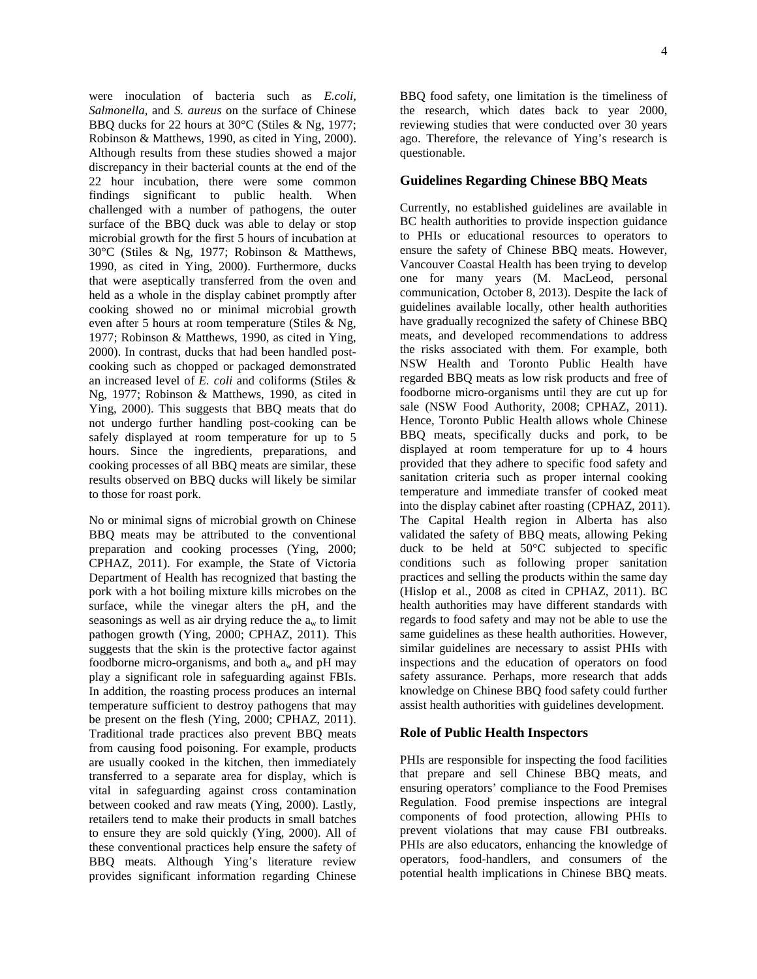were inoculation of bacteria such as *E.coli, Salmonella,* and *S. aureus* on the surface of Chinese BBQ ducks for 22 hours at 30°C (Stiles & Ng, 1977; Robinson & Matthews, 1990, as cited in Ying, 2000). Although results from these studies showed a major discrepancy in their bacterial counts at the end of the 22 hour incubation, there were some common findings significant to public health. When challenged with a number of pathogens, the outer surface of the BBQ duck was able to delay or stop microbial growth for the first 5 hours of incubation at 30°C (Stiles & Ng, 1977; Robinson & Matthews, 1990, as cited in Ying, 2000). Furthermore, ducks that were aseptically transferred from the oven and held as a whole in the display cabinet promptly after cooking showed no or minimal microbial growth even after 5 hours at room temperature (Stiles & Ng, 1977; Robinson & Matthews, 1990, as cited in Ying, 2000). In contrast, ducks that had been handled postcooking such as chopped or packaged demonstrated an increased level of *E. coli* and coliforms (Stiles & Ng, 1977; Robinson & Matthews, 1990, as cited in Ying, 2000). This suggests that BBQ meats that do not undergo further handling post-cooking can be safely displayed at room temperature for up to 5 hours. Since the ingredients, preparations, and cooking processes of all BBQ meats are similar, these results observed on BBQ ducks will likely be similar to those for roast pork.

No or minimal signs of microbial growth on Chinese BBQ meats may be attributed to the conventional preparation and cooking processes (Ying, 2000; CPHAZ, 2011). For example, the State of Victoria Department of Health has recognized that basting the pork with a hot boiling mixture kills microbes on the surface, while the vinegar alters the pH, and the seasonings as well as air drying reduce the  $a_w$  to limit pathogen growth (Ying, 2000; CPHAZ, 2011). This suggests that the skin is the protective factor against foodborne micro-organisms, and both  $a_w$  and pH may play a significant role in safeguarding against FBIs. In addition, the roasting process produces an internal temperature sufficient to destroy pathogens that may be present on the flesh (Ying, 2000; CPHAZ, 2011). Traditional trade practices also prevent BBQ meats from causing food poisoning. For example, products are usually cooked in the kitchen, then immediately transferred to a separate area for display, which is vital in safeguarding against cross contamination between cooked and raw meats (Ying, 2000). Lastly, retailers tend to make their products in small batches to ensure they are sold quickly (Ying, 2000). All of these conventional practices help ensure the safety of BBQ meats. Although Ying's literature review provides significant information regarding Chinese

BBQ food safety, one limitation is the timeliness of the research, which dates back to year 2000, reviewing studies that were conducted over 30 years ago. Therefore, the relevance of Ying's research is questionable.

### **Guidelines Regarding Chinese BBQ Meats**

Currently, no established guidelines are available in BC health authorities to provide inspection guidance to PHIs or educational resources to operators to ensure the safety of Chinese BBQ meats. However, Vancouver Coastal Health has been trying to develop one for many years (M. MacLeod, personal communication, October 8, 2013). Despite the lack of guidelines available locally, other health authorities have gradually recognized the safety of Chinese BBQ meats, and developed recommendations to address the risks associated with them. For example, both NSW Health and Toronto Public Health have regarded BBQ meats as low risk products and free of foodborne micro-organisms until they are cut up for sale (NSW Food Authority, 2008; CPHAZ, 2011). Hence, Toronto Public Health allows whole Chinese BBQ meats, specifically ducks and pork, to be displayed at room temperature for up to 4 hours provided that they adhere to specific food safety and sanitation criteria such as proper internal cooking temperature and immediate transfer of cooked meat into the display cabinet after roasting (CPHAZ, 2011). The Capital Health region in Alberta has also validated the safety of BBQ meats, allowing Peking duck to be held at 50°C subjected to specific conditions such as following proper sanitation practices and selling the products within the same day (Hislop et al., 2008 as cited in CPHAZ, 2011). BC health authorities may have different standards with regards to food safety and may not be able to use the same guidelines as these health authorities. However, similar guidelines are necessary to assist PHIs with inspections and the education of operators on food safety assurance. Perhaps, more research that adds knowledge on Chinese BBQ food safety could further assist health authorities with guidelines development.

### **Role of Public Health Inspectors**

PHIs are responsible for inspecting the food facilities that prepare and sell Chinese BBQ meats, and ensuring operators' compliance to the Food Premises Regulation. Food premise inspections are integral components of food protection, allowing PHIs to prevent violations that may cause FBI outbreaks. PHIs are also educators, enhancing the knowledge of operators, food-handlers, and consumers of the potential health implications in Chinese BBQ meats.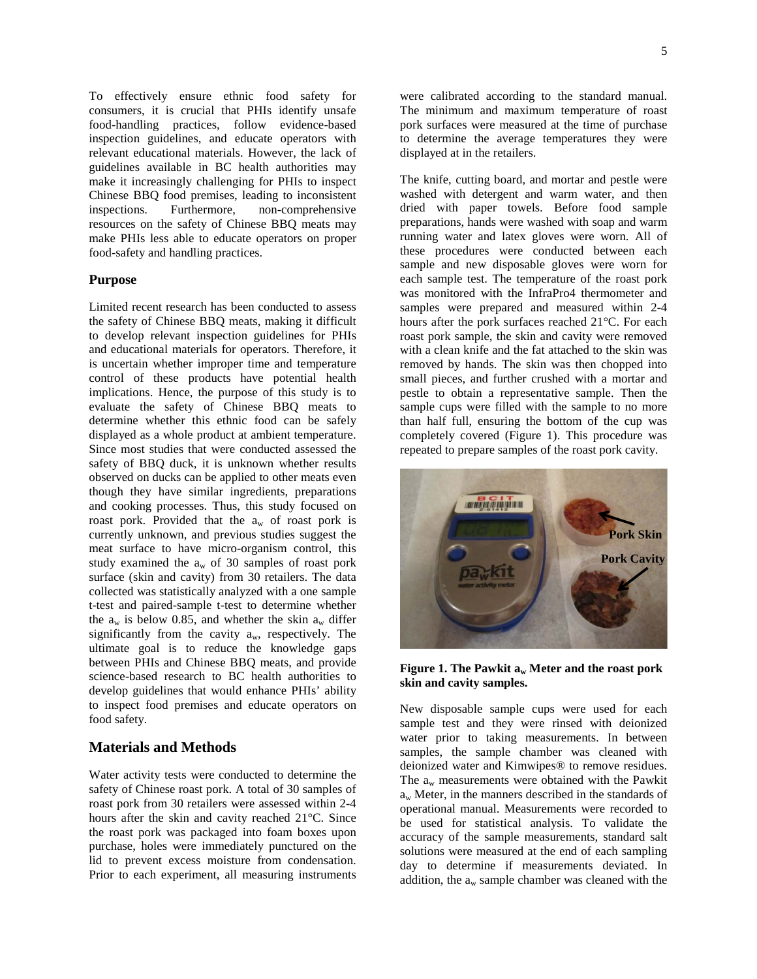To effectively ensure ethnic food safety for consumers, it is crucial that PHIs identify unsafe food-handling practices, follow evidence-based inspection guidelines, and educate operators with relevant educational materials. However, the lack of guidelines available in BC health authorities may make it increasingly challenging for PHIs to inspect Chinese BBQ food premises, leading to inconsistent inspections. Furthermore, non-comprehensive resources on the safety of Chinese BBQ meats may make PHIs less able to educate operators on proper food-safety and handling practices.

#### **Purpose**

Limited recent research has been conducted to assess the safety of Chinese BBQ meats, making it difficult to develop relevant inspection guidelines for PHIs and educational materials for operators. Therefore, it is uncertain whether improper time and temperature control of these products have potential health implications. Hence, the purpose of this study is to evaluate the safety of Chinese BBQ meats to determine whether this ethnic food can be safely displayed as a whole product at ambient temperature. Since most studies that were conducted assessed the safety of BBQ duck, it is unknown whether results observed on ducks can be applied to other meats even though they have similar ingredients, preparations and cooking processes. Thus, this study focused on roast pork. Provided that the  $a_w$  of roast pork is currently unknown, and previous studies suggest the meat surface to have micro-organism control, this study examined the aw of 30 samples of roast pork surface (skin and cavity) from 30 retailers. The data collected was statistically analyzed with a one sample t-test and paired-sample t-test to determine whether the  $a_w$  is below 0.85, and whether the skin  $a_w$  differ significantly from the cavity  $a_w$ , respectively. The ultimate goal is to reduce the knowledge gaps between PHIs and Chinese BBQ meats, and provide science-based research to BC health authorities to develop guidelines that would enhance PHIs' ability to inspect food premises and educate operators on food safety.

# **Materials and Methods**

Water activity tests were conducted to determine the safety of Chinese roast pork. A total of 30 samples of roast pork from 30 retailers were assessed within 2-4 hours after the skin and cavity reached 21°C. Since the roast pork was packaged into foam boxes upon purchase, holes were immediately punctured on the lid to prevent excess moisture from condensation. Prior to each experiment, all measuring instruments

were calibrated according to the standard manual. The minimum and maximum temperature of roast pork surfaces were measured at the time of purchase to determine the average temperatures they were displayed at in the retailers.

The knife, cutting board, and mortar and pestle were washed with detergent and warm water, and then dried with paper towels. Before food sample preparations, hands were washed with soap and warm running water and latex gloves were worn. All of these procedures were conducted between each sample and new disposable gloves were worn for each sample test. The temperature of the roast pork was monitored with the InfraPro4 thermometer and samples were prepared and measured within 2-4 hours after the pork surfaces reached 21°C. For each roast pork sample, the skin and cavity were removed with a clean knife and the fat attached to the skin was removed by hands. The skin was then chopped into small pieces, and further crushed with a mortar and pestle to obtain a representative sample. Then the sample cups were filled with the sample to no more than half full, ensuring the bottom of the cup was completely covered (Figure 1). This procedure was repeated to prepare samples of the roast pork cavity.



#### **Figure 1. The Pawkit aw Meter and the roast pork skin and cavity samples.**

New disposable sample cups were used for each sample test and they were rinsed with deionized water prior to taking measurements. In between samples, the sample chamber was cleaned with deionized water and Kimwipes® to remove residues. The  $a_w$  measurements were obtained with the Pawkit  $a_w$  Meter, in the manners described in the standards of operational manual. Measurements were recorded to be used for statistical analysis. To validate the accuracy of the sample measurements, standard salt solutions were measured at the end of each sampling day to determine if measurements deviated. In addition, the  $a_w$  sample chamber was cleaned with the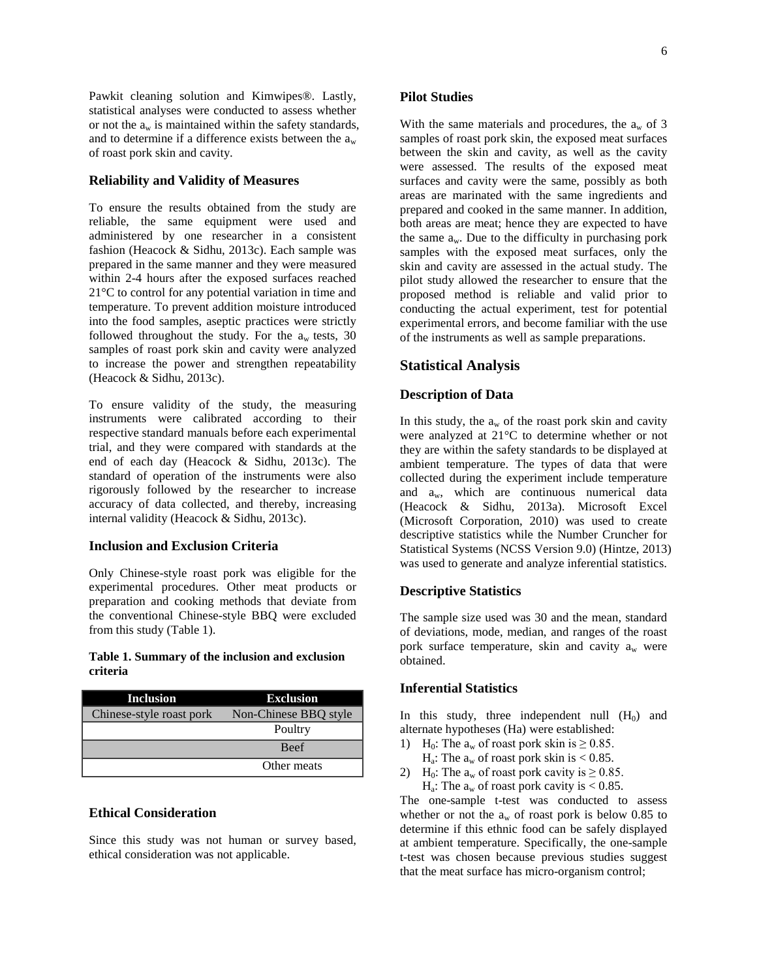Pawkit cleaning solution and Kimwipes®. Lastly, statistical analyses were conducted to assess whether or not the  $a_w$  is maintained within the safety standards, and to determine if a difference exists between the  $a_w$ of roast pork skin and cavity.

## **Reliability and Validity of Measures**

To ensure the results obtained from the study are reliable, the same equipment were used and administered by one researcher in a consistent fashion (Heacock & Sidhu, 2013c). Each sample was prepared in the same manner and they were measured within 2-4 hours after the exposed surfaces reached 21°C to control for any potential variation in time and temperature. To prevent addition moisture introduced into the food samples, aseptic practices were strictly followed throughout the study. For the  $a_w$  tests, 30 samples of roast pork skin and cavity were analyzed to increase the power and strengthen repeatability (Heacock & Sidhu, 2013c).

To ensure validity of the study, the measuring instruments were calibrated according to their respective standard manuals before each experimental trial, and they were compared with standards at the end of each day (Heacock & Sidhu, 2013c). The standard of operation of the instruments were also rigorously followed by the researcher to increase accuracy of data collected, and thereby, increasing internal validity (Heacock & Sidhu, 2013c).

#### **Inclusion and Exclusion Criteria**

Only Chinese-style roast pork was eligible for the experimental procedures. Other meat products or preparation and cooking methods that deviate from the conventional Chinese-style BBQ were excluded from this study (Table 1).

#### **Table 1. Summary of the inclusion and exclusion criteria**

| <b>Inclusion</b>         | <b>Exclusion</b>      |  |  |
|--------------------------|-----------------------|--|--|
| Chinese-style roast pork | Non-Chinese BBQ style |  |  |
|                          | Poultry               |  |  |
|                          | <b>Beef</b>           |  |  |
|                          | Other meats           |  |  |

#### **Ethical Consideration**

Since this study was not human or survey based, ethical consideration was not applicable.

#### **Pilot Studies**

With the same materials and procedures, the  $a_w$  of 3 samples of roast pork skin, the exposed meat surfaces between the skin and cavity, as well as the cavity were assessed. The results of the exposed meat surfaces and cavity were the same, possibly as both areas are marinated with the same ingredients and prepared and cooked in the same manner. In addition, both areas are meat; hence they are expected to have the same  $a_w$ . Due to the difficulty in purchasing pork samples with the exposed meat surfaces, only the skin and cavity are assessed in the actual study. The pilot study allowed the researcher to ensure that the proposed method is reliable and valid prior to conducting the actual experiment, test for potential experimental errors, and become familiar with the use of the instruments as well as sample preparations.

## **Statistical Analysis**

## **Description of Data**

In this study, the  $a_w$  of the roast pork skin and cavity were analyzed at 21°C to determine whether or not they are within the safety standards to be displayed at ambient temperature. The types of data that were collected during the experiment include temperature and aw, which are continuous numerical data (Heacock & Sidhu, 2013a). Microsoft Excel (Microsoft Corporation, 2010) was used to create descriptive statistics while the Number Cruncher for Statistical Systems (NCSS Version 9.0) (Hintze, 2013) was used to generate and analyze inferential statistics.

## **Descriptive Statistics**

The sample size used was 30 and the mean, standard of deviations, mode, median, and ranges of the roast pork surface temperature, skin and cavity  $a_w$  were obtained.

# **Inferential Statistics**

In this study, three independent null  $(H_0)$  and alternate hypotheses (Ha) were established:

- 1) H<sub>0</sub>: The  $a_w$  of roast pork skin is  $\geq 0.85$ .
- $H_a$ : The  $a_w$  of roast pork skin is < 0.85.
- 2) H<sub>0</sub>: The  $a_w$  of roast pork cavity is  $\geq 0.85$ .  $H_a$ : The  $a_w$  of roast pork cavity is < 0.85.

The one-sample t-test was conducted to assess whether or not the  $a_w$  of roast pork is below 0.85 to determine if this ethnic food can be safely displayed at ambient temperature. Specifically, the one-sample t-test was chosen because previous studies suggest that the meat surface has micro-organism control;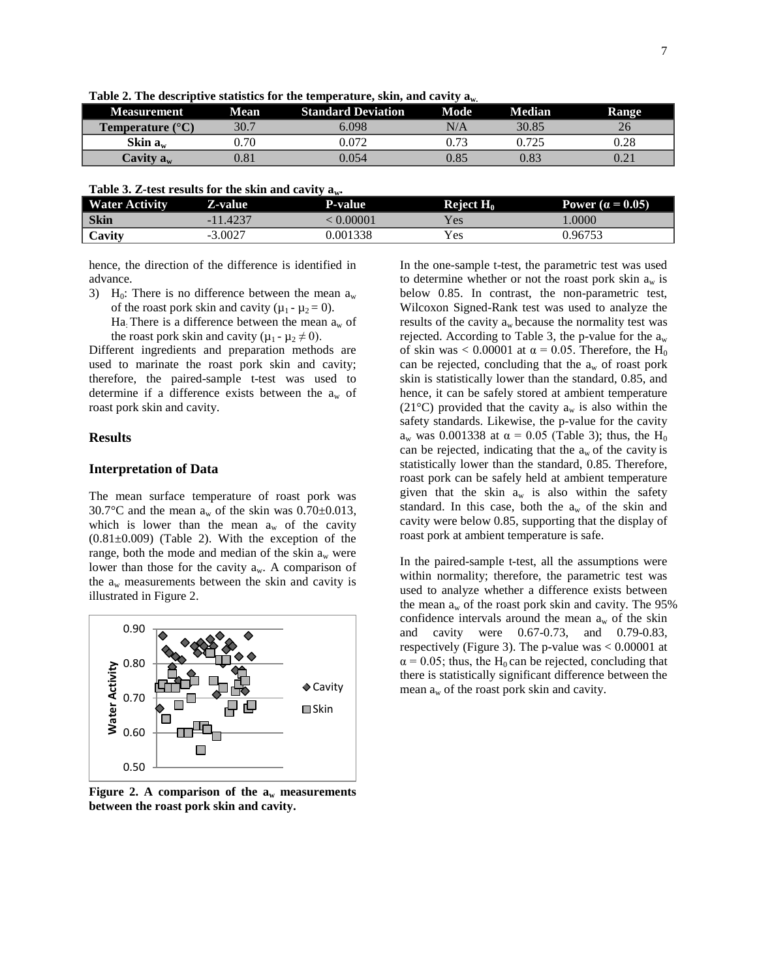|                                  |             |                           | .<br>. |        |                       |
|----------------------------------|-------------|---------------------------|--------|--------|-----------------------|
| <b>Measurement</b>               | <b>Mean</b> | <b>Standard Deviation</b> | Mode   | Median | <b>Range</b>          |
| <b>Temperature</b> $(^{\circ}C)$ | 30.7        | 6.098                     | N/A    | 30.85  |                       |
| Skin $a_w$                       | 0.70        | 0.072                     | 0.73   |        | 0.28                  |
| Cavity $\mathbf{a}_w$            | $\rm 0.81$  | 0.054                     | 0.85   | 0.83   | $J \cdot \mathcal{L}$ |
|                                  |             |                           |        |        |                       |

**Table 2. The descriptive statistics for the temperature, skin, and cavity aw.**

| Table 3. Z-test results for the skin and cavity $a_w$ . |
|---------------------------------------------------------|
|---------------------------------------------------------|

| <b>Water Activity</b> | <b>Z-value</b> | <b>P-value</b> | Reject $H_0$ | Power ( $\alpha$ = 0.05) |
|-----------------------|----------------|----------------|--------------|--------------------------|
| <b>Skin</b>           | $-11.4237$     | 0.00001        | Y es         | .0000                    |
| Cavity                | $-3.0027$      | 0.001338       | Yes          | በ 96753                  |

hence, the direction of the difference is identified in advance.

- 3) H<sub>0</sub>: There is no difference between the mean  $a_w$ of the roast pork skin and cavity  $(\mu_1 - \mu_2 = 0)$ .
	- Ha: There is a difference between the mean  $a_w$  of the roast pork skin and cavity ( $\mu_1 - \mu_2 \neq 0$ ).

Different ingredients and preparation methods are used to marinate the roast pork skin and cavity; therefore, the paired-sample t-test was used to determine if a difference exists between the  $a_w$  of roast pork skin and cavity.

#### **Results**

#### **Interpretation of Data**

The mean surface temperature of roast pork was 30.7°C and the mean  $a_w$  of the skin was 0.70±0.013, which is lower than the mean  $a_w$  of the cavity  $(0.81\pm0.009)$  (Table 2). With the exception of the range, both the mode and median of the skin  $a_w$  were lower than those for the cavity  $a_w$ . A comparison of the  $a_w$  measurements between the skin and cavity is illustrated in Figure 2.



**Figure 2.** A comparison of the  $a_w$  measurements **between the roast pork skin and cavity.**

In the one-sample t-test, the parametric test was used to determine whether or not the roast pork skin  $a_w$  is below 0.85. In contrast, the non-parametric test, Wilcoxon Signed-Rank test was used to analyze the results of the cavity  $a_w$  because the normality test was rejected. According to Table 3, the p-value for the  $a_w$ of skin was < 0.00001 at  $\alpha$  = 0.05. Therefore, the H<sub>0</sub> can be rejected, concluding that the  $a_w$  of roast pork skin is statistically lower than the standard, 0.85, and hence, it can be safely stored at ambient temperature (21 $^{\circ}$ C) provided that the cavity  $a_w$  is also within the safety standards. Likewise, the p-value for the cavity a<sub>w</sub> was 0.001338 at α = 0.05 (Table 3); thus, the H<sub>0</sub> can be rejected, indicating that the  $a_w$  of the cavity is statistically lower than the standard, 0.85. Therefore, roast pork can be safely held at ambient temperature given that the skin  $a_w$  is also within the safety standard. In this case, both the  $a_w$  of the skin and cavity were below 0.85, supporting that the display of roast pork at ambient temperature is safe.

In the paired-sample t-test, all the assumptions were within normality; therefore, the parametric test was used to analyze whether a difference exists between the mean  $a_w$  of the roast pork skin and cavity. The 95% confidence intervals around the mean  $a_w$  of the skin and cavity were 0.67-0.73, and 0.79-0.83, respectively (Figure 3). The p-value was < 0.00001 at  $\alpha$  = 0.05; thus, the H<sub>0</sub> can be rejected, concluding that there is statistically significant difference between the mean  $a_w$  of the roast pork skin and cavity.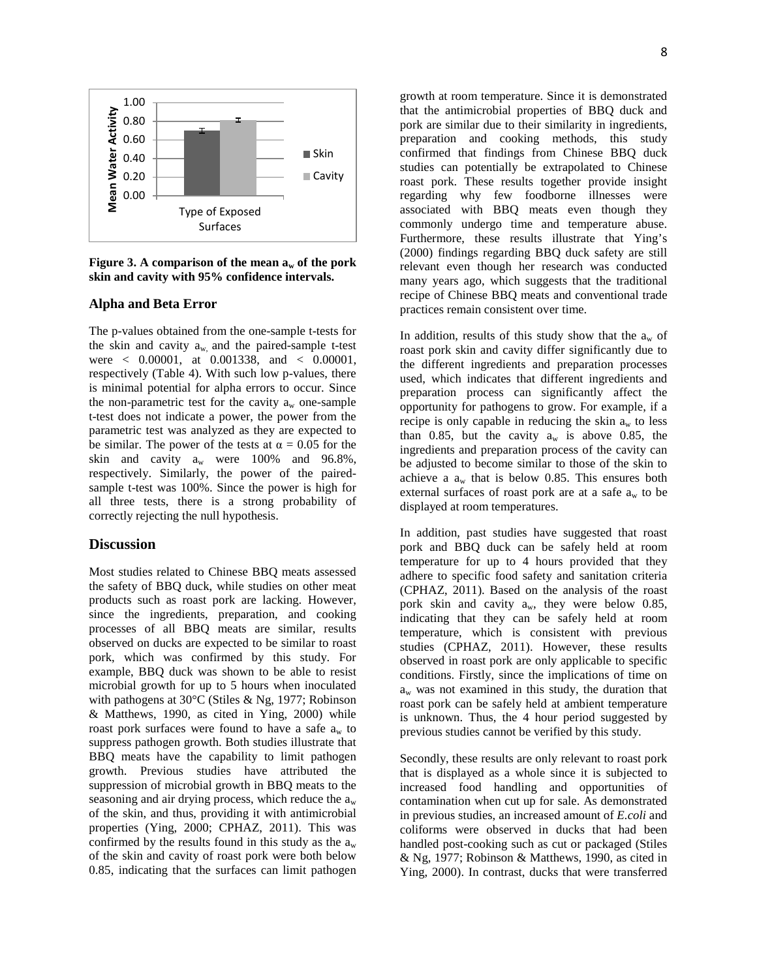

**Figure** 3. A comparison of the mean  $a_w$  of the pork **skin and cavity with 95% confidence intervals.**

## **Alpha and Beta Error**

The p-values obtained from the one-sample t-tests for the skin and cavity  $a_w$  and the paired-sample t-test were < 0.00001, at 0.001338, and < 0.00001, respectively (Table 4). With such low p-values, there is minimal potential for alpha errors to occur. Since the non-parametric test for the cavity  $a_w$  one-sample t-test does not indicate a power, the power from the parametric test was analyzed as they are expected to be similar. The power of the tests at  $\alpha = 0.05$  for the skin and cavity  $a_w$  were 100% and 96.8%, respectively. Similarly, the power of the pairedsample t-test was 100%. Since the power is high for all three tests, there is a strong probability of correctly rejecting the null hypothesis.

#### **Discussion**

Most studies related to Chinese BBQ meats assessed the safety of BBQ duck, while studies on other meat products such as roast pork are lacking. However, since the ingredients, preparation, and cooking processes of all BBQ meats are similar, results observed on ducks are expected to be similar to roast pork, which was confirmed by this study. For example, BBQ duck was shown to be able to resist microbial growth for up to 5 hours when inoculated with pathogens at 30°C (Stiles & Ng, 1977; Robinson & Matthews, 1990, as cited in Ying, 2000) while roast pork surfaces were found to have a safe  $a_w$  to suppress pathogen growth. Both studies illustrate that BBQ meats have the capability to limit pathogen growth. Previous studies have attributed the suppression of microbial growth in BBQ meats to the seasoning and air drying process, which reduce the  $a_w$ of the skin, and thus, providing it with antimicrobial properties (Ying, 2000; CPHAZ, 2011). This was confirmed by the results found in this study as the  $a_w$ of the skin and cavity of roast pork were both below 0.85, indicating that the surfaces can limit pathogen

growth at room temperature. Since it is demonstrated that the antimicrobial properties of BBQ duck and pork are similar due to their similarity in ingredients, preparation and cooking methods, this study confirmed that findings from Chinese BBQ duck studies can potentially be extrapolated to Chinese roast pork. These results together provide insight regarding why few foodborne illnesses were associated with BBQ meats even though they commonly undergo time and temperature abuse. Furthermore, these results illustrate that Ying's (2000) findings regarding BBQ duck safety are still relevant even though her research was conducted many years ago, which suggests that the traditional recipe of Chinese BBQ meats and conventional trade practices remain consistent over time.

In addition, results of this study show that the  $a_w$  of roast pork skin and cavity differ significantly due to the different ingredients and preparation processes used, which indicates that different ingredients and preparation process can significantly affect the opportunity for pathogens to grow. For example, if a recipe is only capable in reducing the skin  $a_w$  to less than 0.85, but the cavity  $a_w$  is above 0.85, the ingredients and preparation process of the cavity can be adjusted to become similar to those of the skin to achieve a  $a_w$  that is below 0.85. This ensures both external surfaces of roast pork are at a safe  $a_w$  to be displayed at room temperatures.

In addition, past studies have suggested that roast pork and BBQ duck can be safely held at room temperature for up to 4 hours provided that they adhere to specific food safety and sanitation criteria (CPHAZ, 2011). Based on the analysis of the roast pork skin and cavity a<sub>w</sub>, they were below 0.85, indicating that they can be safely held at room temperature, which is consistent with previous studies (CPHAZ, 2011). However, these results observed in roast pork are only applicable to specific conditions. Firstly, since the implications of time on  $a_w$  was not examined in this study, the duration that roast pork can be safely held at ambient temperature is unknown. Thus, the 4 hour period suggested by previous studies cannot be verified by this study.

Secondly, these results are only relevant to roast pork that is displayed as a whole since it is subjected to increased food handling and opportunities of contamination when cut up for sale. As demonstrated in previous studies, an increased amount of *E.coli* and coliforms were observed in ducks that had been handled post-cooking such as cut or packaged (Stiles & Ng, 1977; Robinson & Matthews, 1990, as cited in Ying, 2000). In contrast, ducks that were transferred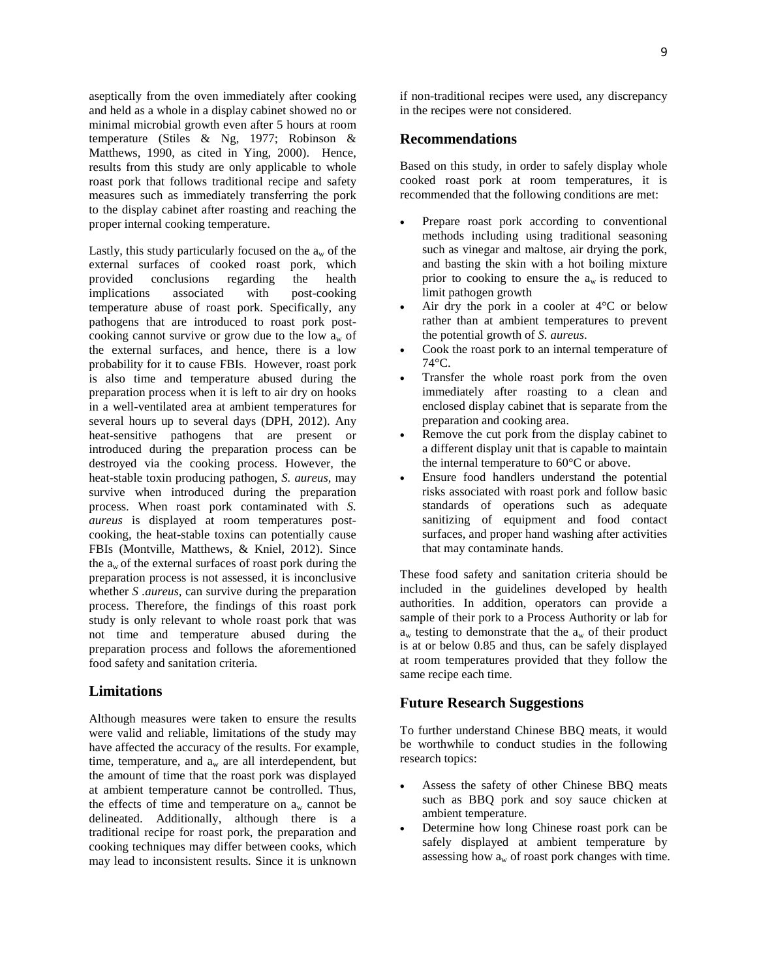aseptically from the oven immediately after cooking and held as a whole in a display cabinet showed no or minimal microbial growth even after 5 hours at room temperature (Stiles & Ng, 1977; Robinson & Matthews, 1990, as cited in Ying, 2000). Hence, results from this study are only applicable to whole roast pork that follows traditional recipe and safety measures such as immediately transferring the pork to the display cabinet after roasting and reaching the proper internal cooking temperature.

Lastly, this study particularly focused on the  $a_w$  of the external surfaces of cooked roast pork, which provided conclusions regarding the health implications associated with post-cooking temperature abuse of roast pork. Specifically, any pathogens that are introduced to roast pork postcooking cannot survive or grow due to the low  $a_w$  of the external surfaces, and hence, there is a low probability for it to cause FBIs. However, roast pork is also time and temperature abused during the preparation process when it is left to air dry on hooks in a well-ventilated area at ambient temperatures for several hours up to several days (DPH, 2012). Any heat-sensitive pathogens that are present or introduced during the preparation process can be destroyed via the cooking process. However, the heat-stable toxin producing pathogen, *S. aureus,* may survive when introduced during the preparation process. When roast pork contaminated with *S. aureus* is displayed at room temperatures postcooking, the heat-stable toxins can potentially cause FBIs (Montville, Matthews, & Kniel, 2012). Since the  $a_w$  of the external surfaces of roast pork during the preparation process is not assessed, it is inconclusive whether *S .aureus,* can survive during the preparation process. Therefore, the findings of this roast pork study is only relevant to whole roast pork that was not time and temperature abused during the preparation process and follows the aforementioned food safety and sanitation criteria.

# **Limitations**

Although measures were taken to ensure the results were valid and reliable, limitations of the study may have affected the accuracy of the results. For example, time, temperature, and  $a_w$  are all interdependent, but the amount of time that the roast pork was displayed at ambient temperature cannot be controlled. Thus, the effects of time and temperature on  $a_w$  cannot be delineated. Additionally, although there is a traditional recipe for roast pork, the preparation and cooking techniques may differ between cooks, which may lead to inconsistent results. Since it is unknown

if non-traditional recipes were used, any discrepancy in the recipes were not considered.

## **Recommendations**

Based on this study, in order to safely display whole cooked roast pork at room temperatures, it is recommended that the following conditions are met:

- Prepare roast pork according to conventional methods including using traditional seasoning such as vinegar and maltose, air drying the pork, and basting the skin with a hot boiling mixture prior to cooking to ensure the  $a_w$  is reduced to limit pathogen growth
- Air dry the pork in a cooler at  $4^{\circ}$ C or below rather than at ambient temperatures to prevent the potential growth of *S. aureus*.
- Cook the roast pork to an internal temperature of 74°C.
- Transfer the whole roast pork from the oven immediately after roasting to a clean and enclosed display cabinet that is separate from the preparation and cooking area.
- Remove the cut pork from the display cabinet to a different display unit that is capable to maintain the internal temperature to 60°C or above.
- Ensure food handlers understand the potential risks associated with roast pork and follow basic standards of operations such as adequate sanitizing of equipment and food contact surfaces, and proper hand washing after activities that may contaminate hands.

These food safety and sanitation criteria should be included in the guidelines developed by health authorities. In addition, operators can provide a sample of their pork to a Process Authority or lab for  $a_w$  testing to demonstrate that the  $a_w$  of their product is at or below 0.85 and thus, can be safely displayed at room temperatures provided that they follow the same recipe each time.

#### **Future Research Suggestions**

To further understand Chinese BBQ meats, it would be worthwhile to conduct studies in the following research topics:

- Assess the safety of other Chinese BBQ meats such as BBQ pork and soy sauce chicken at ambient temperature.
- Determine how long Chinese roast pork can be safely displayed at ambient temperature by assessing how  $a_w$  of roast pork changes with time.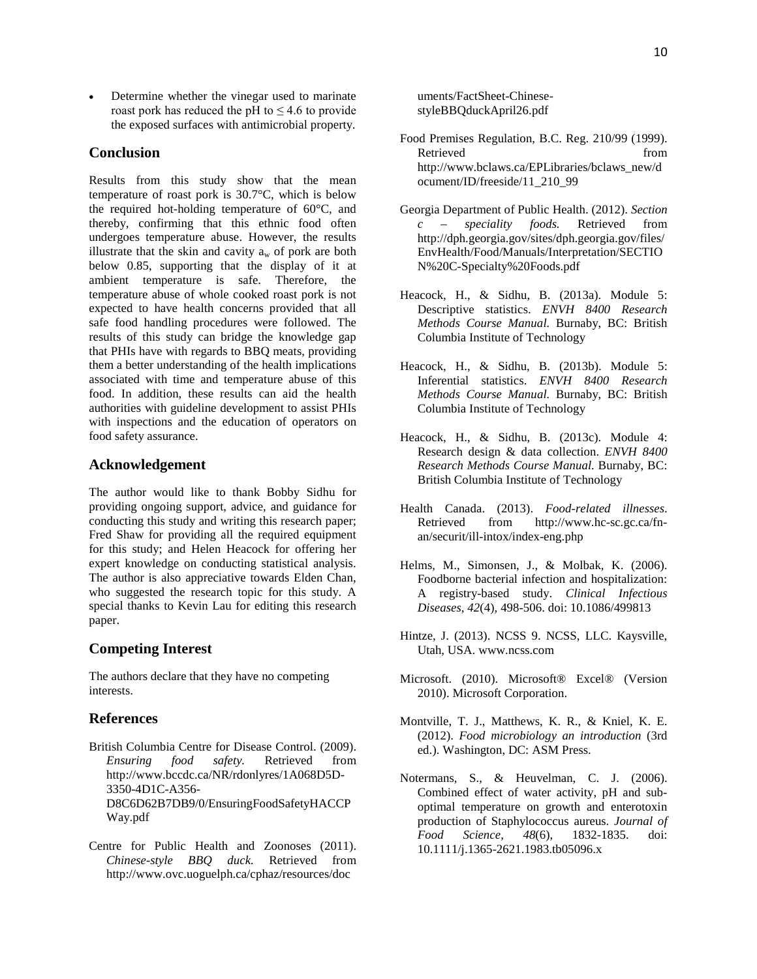Determine whether the vinegar used to marinate roast pork has reduced the pH to  $\leq 4.6$  to provide the exposed surfaces with antimicrobial property.

# **Conclusion**

Results from this study show that the mean temperature of roast pork is 30.7°C, which is below the required hot-holding temperature of 60°C, and thereby, confirming that this ethnic food often undergoes temperature abuse. However, the results illustrate that the skin and cavity  $a_w$  of pork are both below 0.85, supporting that the display of it at ambient temperature is safe. Therefore, the temperature abuse of whole cooked roast pork is not expected to have health concerns provided that all safe food handling procedures were followed. The results of this study can bridge the knowledge gap that PHIs have with regards to BBQ meats, providing them a better understanding of the health implications associated with time and temperature abuse of this food. In addition, these results can aid the health authorities with guideline development to assist PHIs with inspections and the education of operators on food safety assurance.

## **Acknowledgement**

The author would like to thank Bobby Sidhu for providing ongoing support, advice, and guidance for conducting this study and writing this research paper; Fred Shaw for providing all the required equipment for this study; and Helen Heacock for offering her expert knowledge on conducting statistical analysis. The author is also appreciative towards Elden Chan, who suggested the research topic for this study. A special thanks to Kevin Lau for editing this research paper.

## **Competing Interest**

The authors declare that they have no competing interests.

## **References**

- British Columbia Centre for Disease Control. (2009). *Ensuring food safety.* Retrieved from http://www.bccdc.ca/NR/rdonlyres/1A068D5D-3350-4D1C-A356- D8C6D62B7DB9/0/EnsuringFoodSafetyHACCP Way.pdf
- Centre for Public Health and Zoonoses (2011). *Chinese-style BBQ duck.* Retrieved from http://www.ovc.uoguelph.ca/cphaz/resources/doc

uments/FactSheet-ChinesestyleBBQduckApril26.pdf

- Food Premises Regulation, B.C. Reg. 210/99 (1999). Retrieved from from http://www.bclaws.ca/EPLibraries/bclaws\_new/d ocument/ID/freeside/11\_210\_99
- Georgia Department of Public Health. (2012). *Section c – speciality foods.* Retrieved from http://dph.georgia.gov/sites/dph.georgia.gov/files/ EnvHealth/Food/Manuals/Interpretation/SECTIO N%20C-Specialty%20Foods.pdf
- Heacock, H., & Sidhu, B. (2013a). Module 5: Descriptive statistics. *ENVH 8400 Research Methods Course Manual.* Burnaby, BC: British Columbia Institute of Technology
- Heacock, H., & Sidhu, B. (2013b). Module 5: Inferential statistics. *ENVH 8400 Research Methods Course Manual.* Burnaby, BC: British Columbia Institute of Technology
- Heacock, H., & Sidhu, B. (2013c). Module 4: Research design & data collection. *ENVH 8400 Research Methods Course Manual.* Burnaby, BC: British Columbia Institute of Technology
- Health Canada. (2013). *Food-related illnesses*. Retrieved from http://www.hc-sc.gc.ca/fnan/securit/ill-intox/index-eng.php
- Helms, M., Simonsen, J., & Molbak, K. (2006). Foodborne bacterial infection and hospitalization: A registry-based study. *Clinical Infectious Diseases, 42*(4)*,* 498-506. doi: 10.1086/499813
- Hintze, J. (2013). NCSS 9. NCSS, LLC. Kaysville, Utah, USA. www.ncss.com
- Microsoft. (2010). Microsoft® Excel® (Version 2010). Microsoft Corporation.
- Montville, T. J., Matthews, K. R., & Kniel, K. E. (2012). *Food microbiology an introduction* (3rd ed.). Washington, DC: ASM Press.
- Notermans, S., & Heuvelman, C. J. (2006). Combined effect of water activity, pH and suboptimal temperature on growth and enterotoxin production of Staphylococcus aureus. *Journal of Food Science, 48*(6), 1832-1835. doi: 10.1111/j.1365-2621.1983.tb05096.x